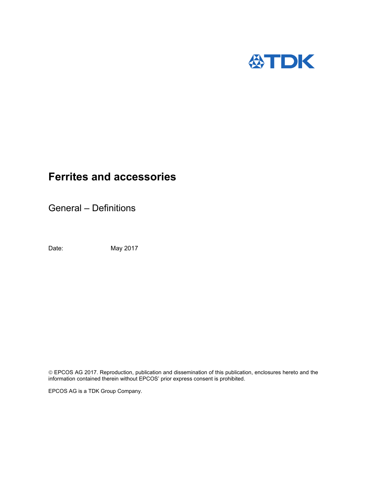

General – Definitions

Date: May 2017

 EPCOS AG 2017. Reproduction, publication and dissemination of this publication, enclosures hereto and the information contained therein without EPCOS' prior express consent is prohibited.

EPCOS AG is a TDK Group Company.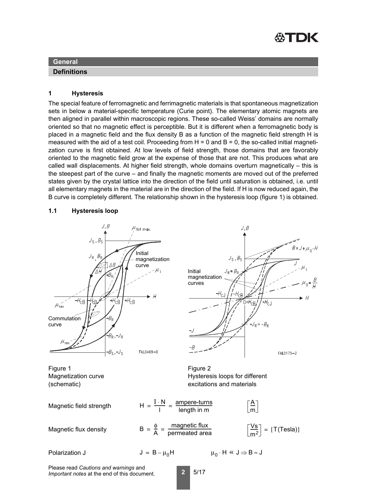

### **Definitions**

#### **1 Hysteresis**

The special feature of ferromagnetic and ferrimagnetic materials is that spontaneous magnetization sets in below a material-specific temperature (Curie point). The elementary atomic magnets are then aligned in parallel within macroscopic regions. These so-called Weiss' domains are normally oriented so that no magnetic effect is perceptible. But it is different when a ferromagnetic body is placed in a magnetic field and the flux density B as a function of the magnetic field strength H is measured with the aid of a test coil. Proceeding from  $H = 0$  and  $B = 0$ , the so-called initial magnetization curve is first obtained. At low levels of field strength, those domains that are favorably oriented to the magnetic field grow at the expense of those that are not. This produces what are called wall displacements. At higher field strength, whole domains overturn magnetically – this is the steepest part of the curve – and finally the magnetic moments are moved out of the preferred states given by the crystal lattice into the direction of the field until saturation is obtained, i.e. until all elementary magnets in the material are in the direction of the field. If H is now reduced again, the B curve is completely different. The relationship shown in the hysteresis loop (figure 1) is obtained.

# **1.1 Hysteresis loop**



Please read *Cautions and warnings* and *Important notes* at the end of this document.

**2** 5/17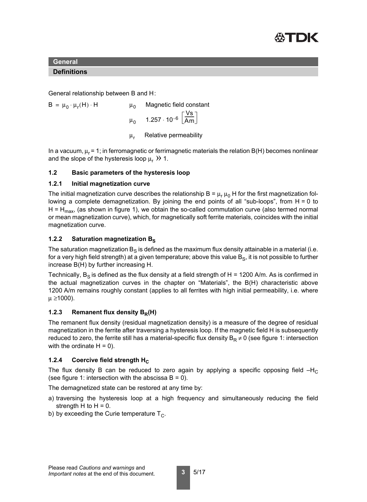

# **Definitions**

General relationship between B and H:

 $B = \mu_0 \cdot \mu_r(H) \cdot H$   $\mu_0$  Magnetic field constant  $\mu_\mathrm{0}$   $\,$  1.257  $\cdot$  10 $^{-6}$ Vs<br>Am  $\mu_r$  Relative permeability

In a vacuum,  $\mu_r$  = 1; in ferromagnetic or ferrimagnetic materials the relation B(H) becomes nonlinear and the slope of the hysteresis loop  $\mu_r$   $\gg$  1.

# **1.2 Basic parameters of the hysteresis loop**

#### **1.2.1 Initial magnetization curve**

The initial magnetization curve describes the relationship B =  $\mu_r \mu_0$  H for the first magnetization following a complete demagnetization. By joining the end points of all "sub-loops", from H = 0 to H =  $H_{\text{max}}$ , (as shown in figure 1), we obtain the so-called commutation curve (also termed normal or mean magnetization curve), which, for magnetically soft ferrite materials, coincides with the initial magnetization curve.

# **1.2.2 Saturation magnetization Bs**

The saturation magnetization  $B<sub>S</sub>$  is defined as the maximum flux density attainable in a material (i.e. for a very high field strength) at a given temperature; above this value  $B_{\rm S}$ , it is not possible to further increase B(H) by further increasing H.

Technically,  $B<sub>S</sub>$  is defined as the flux density at a field strength of H = 1200 A/m. As is confirmed in the actual magnetization curves in the chapter on "Materials", the B(H) characteristic above 1200 A/m remains roughly constant (applies to all ferrites with high initial permeability, i.e. where  $μ ≥ 1000$ ).

# **1.2.3** Remanent flux density B<sub>R</sub>(H)

The remanent flux density (residual magnetization density) is a measure of the degree of residual magnetization in the ferrite after traversing a hysteresis loop. If the magnetic field H is subsequently reduced to zero, the ferrite still has a material-specific flux density  $B_R \neq 0$  (see figure 1: intersection with the ordinate  $H = 0$ ).

# **1.2.4 Coercive field strength H<sub>C</sub>**

The flux density B can be reduced to zero again by applying a specific opposing field  $-H<sub>C</sub>$ (see figure 1: intersection with the abscissa  $B = 0$ ).

The demagnetized state can be restored at any time by:

- a) traversing the hysteresis loop at a high frequency and simultaneously reducing the field strength H to  $H = 0$ .
- b) by exceeding the Curie temperature  $T_{C}$ .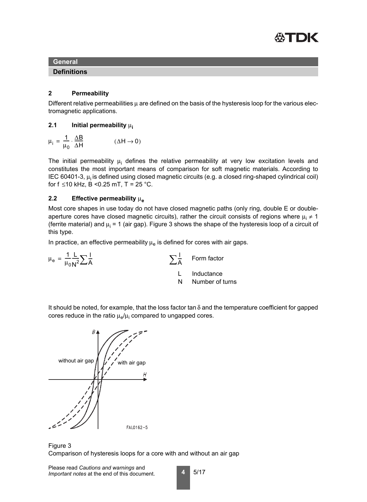

#### **Definitions**

# **2 Permeability**

Different relative permeabilities  $\mu$  are defined on the basis of the hysteresis loop for the various electromagnetic applications.

#### **2.1 Initial permeability** μ**<sup>i</sup>**

$$
\mu_i = \frac{1}{\mu_0} \cdot \frac{\Delta B}{\Delta H} \tag{ \Delta H \rightarrow 0}
$$

The initial permeability  $\mu_{\mathsf{i}}$  defines the relative permeability at very low excitation levels and constitutes the most important means of comparison for soft magnetic materials. According to IEC 60401-3,  $\mu_i$  is defined using closed magnetic circuits (e.g. a closed ring-shaped cylindrical coil) for  $f \le 10$  kHz,  $B < 0.25$  mT,  $T = 25$  °C.

# **2.2** Effective permeability μ<sub>e</sub>

Most core shapes in use today do not have closed magnetic paths (only ring, double E or doubleaperture cores have closed magnetic circuits), rather the circuit consists of regions where  $\mu_i \neq 1$ (ferrite material) and  $\mu_{\mathsf{i}}$  = 1 (air gap). Figure 3 shows the shape of the hysteresis loop of a circuit of this type.

In practice, an effective permeability  $\mu_e$  is defined for cores with air gaps.

| $\sum_{\ell}$<br>$\mu_e = \frac{1}{\mu_0 N^2} \sum \frac{1}{A}$ |
|-----------------------------------------------------------------|
|-----------------------------------------------------------------|

 $\sum_{\mathbf{A}} \frac{\mathbf{I}}{\mathbf{A}}$  Form factor

- L Inductance
- N Number of turns

It should be noted, for example, that the loss factor tan  $\delta$  and the temperature coefficient for gapped cores reduce in the ratio  $\mu_{\rm e}/\mu_{\rm i}$  compared to ungapped cores.



Figure 3 Comparison of hysteresis loops for a core with and without an air gap

$$
\blacksquare 5/17
$$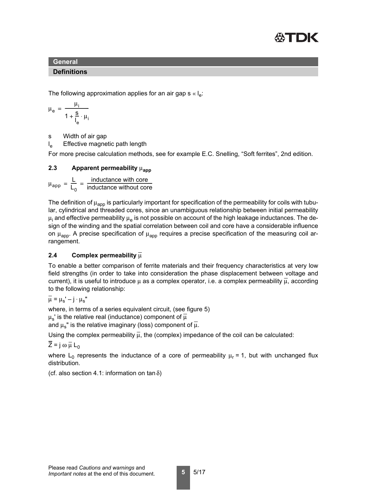

#### **Definitions**

The following approximation applies for an air gap s  $\kappa$   $I_{e}$ :

$$
\mu_e = \frac{\mu_i}{1 + \frac{s}{l_e} \cdot \mu_i}
$$

s Width of air gap

 $I_{\rm e}$ Effective magnetic path length

For more precise calculation methods, see for example E.C. Snelling, "Soft ferrites", 2nd edition.

# **2.3** Apparent permeability μ<sub>app</sub>

 $\mu_{\rm app} = \frac{\mathsf{L}}{\mathsf{L}}$  $L_0$  $=\frac{L}{L_0}=\frac{\text{inductance with core}}{\text{inductance without core}}$ 

The definition of  $\mu_{app}$  is particularly important for specification of the permeability for coils with tubular, cylindrical and threaded cores, since an unambiguous relationship between initial permeability  $\mu_{\mathsf{i}}$  and effective permeability  $\mu_{\mathsf{e}}$  is not possible on account of the high leakage inductances. The design of the winding and the spatial correlation between coil and core have a considerable influence on  $\mu_{\text{app}}$ . A precise specification of  $\mu_{\text{app}}$  requires a precise specification of the measuring coil arrangement.

# **2.4 Complex permeability** μ

To enable a better comparison of ferrite materials and their frequency characteristics at very low field strengths (in order to take into consideration the phase displacement between voltage and current), it is useful to introduce  $\mu$  as a complex operator, i.e. a complex permeability  $\overline{\mu}$ , according to the following relationship:

$$
\overline{\mu} = \mu_s' - j \cdot \mu_s''
$$

where, in terms of a series equivalent circuit, (see figure 5)

 $\mu_{\rm s}$ ' is the relative real (inductance) component of  $\mu$ 

and  $\mu_s$ " is the relative imaginary (loss) component of  $\overline{\mu}$ .

Using the complex permeability  $\overline{\mu}$ , the (complex) impedance of the coil can be calculated:

 $\overline{Z}$  = j ω  $\overline{\mu}$  L<sub>0</sub>

where L<sub>0</sub> represents the inductance of a core of permeability  $\mu_r = 1$ , but with unchanged flux distribution.

(cf. also section 4.1: information on tan  $\delta$ )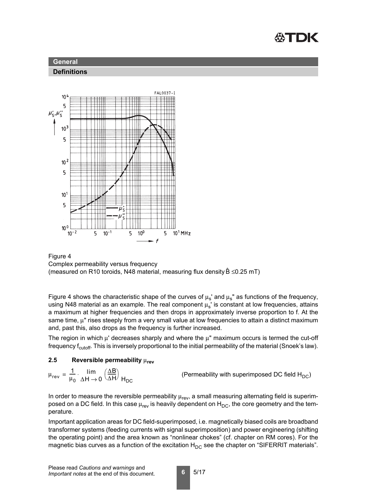





# Figure 4 Complex permeability versus frequency

(measured on R10 toroids, N48 material, measuring flux density  $\hat{B} \le 0.25$  mT)

Figure 4 shows the characteristic shape of the curves of  $\mu_s$ ' and  $\mu_s$ " as functions of the frequency, using N48 material as an example. The real component  $\mu_s$ ' is constant at low frequencies, attains a maximum at higher frequencies and then drops in approximately inverse proportion to f. At the same time, μ" rises steeply from a very small value at low frequencies to attain a distinct maximum and, past this, also drops as the frequency is further increased.

The region in which  $\mu'$  decreases sharply and where the  $\mu''$  maximum occurs is termed the cut-off frequency f<sub>cutoff</sub>. This is inversely proportional to the initial permeability of the material (Snoek's law).

# **2.5 Reversible permeability** μ**rev**

 $\mu_{rev} = \frac{1}{\mu}$  $\mu_0$  $=\frac{1}{\mu_0} \cdot \lim_{\Delta H \to 0} \left(\frac{\Delta B}{\Delta H}\right)$ 

(Permeability with superimposed DC field  $H_{DC}$ )

In order to measure the reversible permeability  $\mu_{rev}$ , a small measuring alternating field is superimposed on a DC field. In this case  $\mu_{rev}$  is heavily dependent on  $H_{DC}$ , the core geometry and the temperature.

Important application areas for DC field-superimposed, i.e. magnetically biased coils are broadband transformer systems (feeding currents with signal superimposition) and power engineering (shifting the operating point) and the area known as "nonlinear chokes" (cf. chapter on RM cores). For the magnetic bias curves as a function of the excitation  $H_{DC}$  see the chapter on "SIFERRIT materials".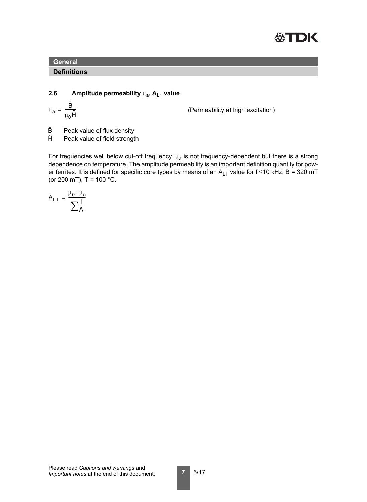

#### **Definitions**

# **2.6** Amplitude permeability  $\mu_a$ , A<sub>L1</sub> value

$$
\mu_a = \frac{\hat{B}}{\mu_0 \hat{H}}
$$

(Permeability at high excitation)

- Peak value of flux density B
- Peak value of field strength  $\hat{H}$

For frequencies well below cut-off frequency,  $\mu_a$  is not frequency-dependent but there is a strong dependence on temperature. The amplitude permeability is an important definition quantity for power ferrites. It is defined for specific core types by means of an  $A_{L1}$  value for f ≤10 kHz, B = 320 mT (or 200 mT),  $T = 100 °C$ .

$$
A_{L1} = \frac{\mu_0 \cdot \mu_a}{\sum \frac{l}{A}}
$$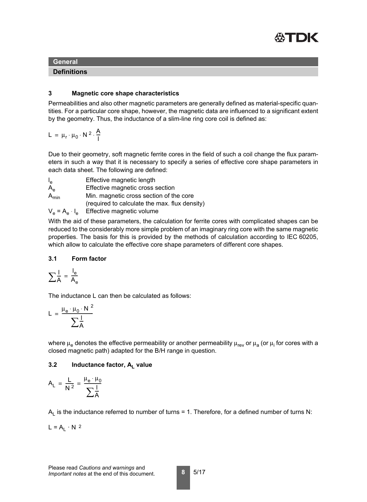

#### **Definitions**

# **3 Magnetic core shape characteristics**

Permeabilities and also other magnetic parameters are generally defined as material-specific quantities. For a particular core shape, however, the magnetic data are influenced to a significant extent by the geometry. Thus, the inductance of a slim-line ring core coil is defined as:

$$
L = \mu_r \cdot \mu_0 \cdot N^2 \cdot \frac{A}{l}
$$

Due to their geometry, soft magnetic ferrite cores in the field of such a coil change the flux parameters in such a way that it is necessary to specify a series of effective core shape parameters in each data sheet. The following are defined:

 $I_{\rm e}$ Effective magnetic length A<sub>e</sub> Effective magnetic cross section A<sub>min</sub> Min. magnetic cross section of the core (required to calculate the max. flux density)  $V_e = A_e \cdot I_e$  Effective magnetic volume

With the aid of these parameters, the calculation for ferrite cores with complicated shapes can be reduced to the considerably more simple problem of an imaginary ring core with the same magnetic properties. The basis for this is provided by the methods of calculation according to IEC 60205, which allow to calculate the effective core shape parameters of different core shapes.

# **3.1 Form factor**

$$
\sum \frac{I}{A} = \frac{I_e}{A_e}
$$

The inductance L can then be calculated as follows:

$$
L = \frac{\mu_e \cdot \mu_0 \cdot N^2}{\sum_{A} \frac{1}{A}}
$$

where  $\mu_{\rm e}$  denotes the effective permeability or another permeability  $\mu_{\rm rev}$  or  $\mu_{\rm a}$  (or  $\mu_{\rm i}$  for cores with a closed magnetic path) adapted for the B/H range in question.

# **3.2** Inductance factor, A<sub>1</sub> value

$$
A_L = \frac{L}{N^2} = \frac{\mu_e \cdot \mu_0}{\sum \frac{I}{A}}
$$

 $A<sub>l</sub>$  is the inductance referred to number of turns = 1. Therefore, for a defined number of turns N:

 $L = A_1 \cdot N^2$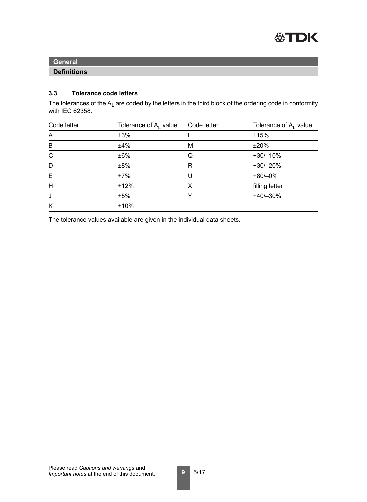

#### **Definitions**

# **3.3 Tolerance code letters**

The tolerances of the  $A_L$  are coded by the letters in the third block of the ordering code in conformity with IEC 62358.

| Code letter  | Tolerance of A <sub>l</sub> value | Code letter | Tolerance of $A1$ value |
|--------------|-----------------------------------|-------------|-------------------------|
| A            | $\pm 3\%$                         |             | ±15%                    |
| B            | ±4%                               | M           | ±20%                    |
| $\mathsf{C}$ | $\pm 6\%$                         | Q           | $+30/-10%$              |
| D            | $\pm 8\%$                         | R           | $+30/-20%$              |
| E            | ±7%                               | U           | $+80/-0%$               |
| H            | ±12%                              | X           | filling letter          |
| J            | ±5%                               | v           | $+40/-30%$              |
| K            | ±10%                              |             |                         |

The tolerance values available are given in the individual data sheets.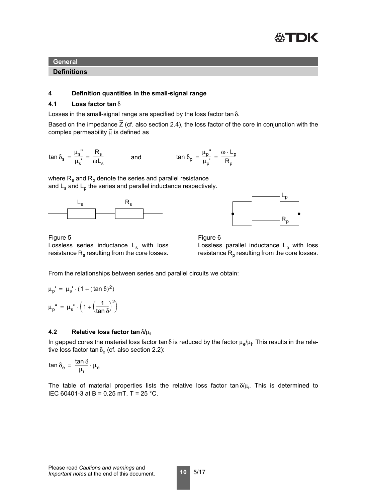

**Definitions**

#### **4 Definition quantities in the small-signal range**

#### **4.1 Loss factor tan** δ

Losses in the small-signal range are specified by the loss factor tan δ.

Based on the impedance  $\overline{Z}$  (cf. also section 2.4), the loss factor of the core in conjunction with the complex permeability  $\overline{\mu}$  is defined as

 $\tan \delta_{\rm s} = \frac{\mu_{\rm s}^{\text{''}}}{\mu_{\rm s}^{\text{'}}}= \frac{\mathsf{R}_{\rm s}}{\omega \mathsf{L}_{\rm s}}$  and  $\tan \delta_{\rm p} = \frac{\mu_{\rm p}^{\text{''}}}{\mu_{\rm p}^{\text{'}}}$ and  $\tan \delta_p = \frac{\mu_p''}{\mu_p'} = \frac{\omega \cdot L_p}{R_p}$ 

where  $R_s$  and  $R_p$  denote the series and parallel resistance and  $L_s$  and  $L_p$  the series and parallel inductance respectively.





Figure 5 Lossless series inductance  $L_s$  with loss resistance  $R_s$  resulting from the core losses.

Figure 6 Lossless parallel inductance  $L_p$  with loss resistance  $R_p$  resulting from the core losses.

From the relationships between series and parallel circuits we obtain:

$$
\mu_{p}^{\prime} = \mu_{s}^{\prime} \cdot (1 + (\tan \delta)^{2})
$$

$$
\mu_{p}^{\prime\prime} = \mu_{s}^{\prime\prime} \cdot \left(1 + \left(\frac{1}{\tan \delta}\right)^{2}\right)
$$

#### **4.2 Relative loss factor tan** δ**/**μ**<sup>i</sup>**

In gapped cores the material loss factor tan  $\delta$  is reduced by the factor  $\mu_{\rm e}/\mu_{\rm i}$ . This results in the relative loss factor tan  $\delta_{\rm e}$  (cf. also section 2.2):

$$
\tan\delta_e\,=\,\frac{\tan\delta}{\mu_i}\cdot\mu_e
$$

The table of material properties lists the relative loss factor tan $\delta/\mu_{\mathsf{i}}.$  This is determined to IEC 60401-3 at B = 0.25 mT, T = 25 °C.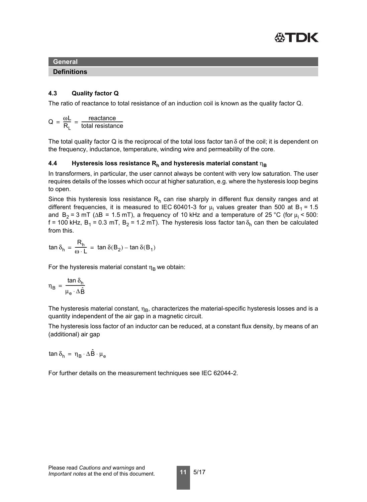

**Definitions**

# **4.3 Quality factor Q**

The ratio of reactance to total resistance of an induction coil is known as the quality factor Q.

$$
Q = \frac{\omega L}{R_L} = \frac{\text{reactance}}{\text{total resistance}}
$$

The total quality factor Q is the reciprocal of the total loss factor tan  $\delta$  of the coil; it is dependent on the frequency, inductance, temperature, winding wire and permeability of the core.

# **4.4** Hysteresis loss resistance R<sub>h</sub> and hysteresis material constant  $η_B$

In transformers, in particular, the user cannot always be content with very low saturation. The user requires details of the losses which occur at higher saturation, e.g. where the hysteresis loop begins to open.

Since this hysteresis loss resistance  $R_h$  can rise sharply in different flux density ranges and at different frequencies, it is measured to IEC 60401-3 for  $\mu_{\mathsf{i}}$  values greater than 500 at B $_{\mathsf{1}}$  = 1.5 and  $B_2 = 3$  mT ( $\Delta B = 1.5$  mT), a frequency of 10 kHz and a temperature of 25 °C (for  $\mu_i$  < 500: f = 100 kHz, B<sub>1</sub> = 0.3 mT, B<sub>2</sub> = 1.2 mT). The hysteresis loss factor tan  $\delta_h$  can then be calculated from this.

tan  $\delta_{\sf h}$  $\mathsf{R}_\mathsf{h}$  $=\frac{\Delta_{0}}{\omega L} = \tan \delta(B_2) - \tan \delta(B_1)$ 

For the hysteresis material constant  $\eta_B$  we obtain:

$$
\eta_B = \frac{\tan \delta_h}{\mu_e \cdot \Delta \hat{B}}
$$

The hysteresis material constant,  $\eta_B$ , characterizes the material-specific hysteresis losses and is a quantity independent of the air gap in a magnetic circuit.

The hysteresis loss factor of an inductor can be reduced, at a constant flux density, by means of an (additional) air gap

$$
\text{tan}\,\delta_h\,=\,\eta_B\cdot\Delta\hat{B}\cdot\mu_e
$$

For further details on the measurement techniques see IEC 62044-2.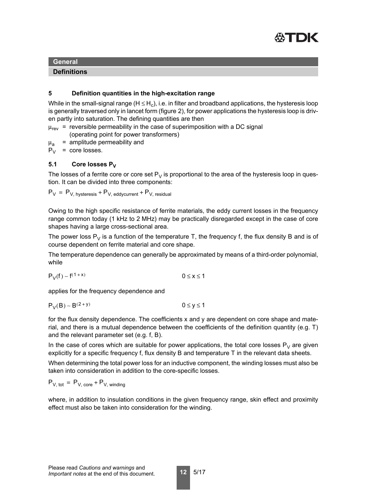

# **Definitions**

# **5 Definition quantities in the high-excitation range**

While in the small-signal range (H  $\leq$  H<sub>c</sub>), i.e. in filter and broadband applications, the hysteresis loop is generally traversed only in lancet form (figure 2), for power applications the hysteresis loop is driven partly into saturation. The defining quantities are then

 $\mu_{rev}$  = reversible permeability in the case of superimposition with a DC signal

(operating point for power transformers)

 $\mu$ <sub>a</sub> = amplitude permeability and

 $P_V$  = core losses.

# 5.1 Core losses P<sub>V</sub>

The losses of a ferrite core or core set  $P_V$  is proportional to the area of the hysteresis loop in question. It can be divided into three components:

$$
P_V = P_{V, \text{ hysteresis}} + P_{V, \text{ eddycurrent}} + P_{V, \text{ residual}}
$$

Owing to the high specific resistance of ferrite materials, the eddy current losses in the frequency range common today (1 kHz to 2 MHz) may be practically disregarded except in the case of core shapes having a large cross-sectional area.

The power loss  $P_V$  is a function of the temperature T, the frequency f, the flux density B and is of course dependent on ferrite material and core shape.

The temperature dependence can generally be approximated by means of a third-order polynomial, while

$$
P_V(f) \sim f^{(1+x)} \qquad \qquad 0 \leq x \leq 1
$$

applies for the frequency dependence and

$$
P_V(B) \sim B^{(2+y)} \hspace{2.6cm} 0 \leq y \leq 1
$$

for the flux density dependence. The coefficients x and y are dependent on core shape and material, and there is a mutual dependence between the coefficients of the definition quantity (e.g. T) and the relevant parameter set (e.g. f, B).

In the case of cores which are suitable for power applications, the total core losses  $P_V$  are given explicitly for a specific frequency f, flux density B and temperature T in the relevant data sheets.

When determining the total power loss for an inductive component, the winding losses must also be taken into consideration in addition to the core-specific losses.

$$
P_{V, \text{ tot}} = P_{V, \text{ core}} + P_{V, \text{ winding}}
$$

where, in addition to insulation conditions in the given frequency range, skin effect and proximity effect must also be taken into consideration for the winding.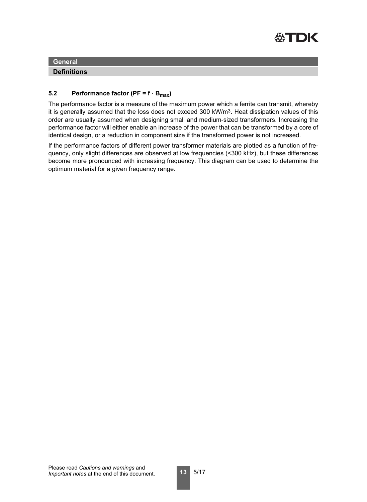

**Definitions**

# **5.2** Performance factor (PF =  $f \cdot B_{max}$ )

The performance factor is a measure of the maximum power which a ferrite can transmit, whereby it is generally assumed that the loss does not exceed 300 kW/m<sup>3</sup>. Heat dissipation values of this order are usually assumed when designing small and medium-sized transformers. Increasing the performance factor will either enable an increase of the power that can be transformed by a core of identical design, or a reduction in component size if the transformed power is not increased.

If the performance factors of different power transformer materials are plotted as a function of frequency, only slight differences are observed at low frequencies (<300 kHz), but these differences become more pronounced with increasing frequency. This diagram can be used to determine the optimum material for a given frequency range.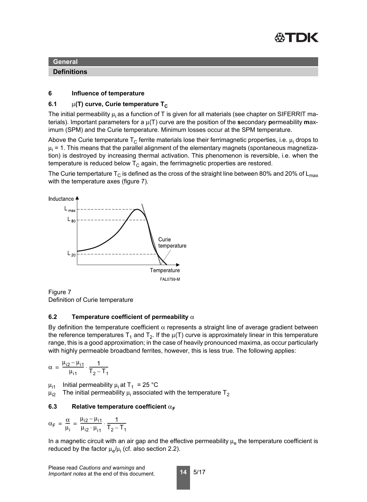

**Definitions**

#### **6 Influence of temperature**

#### **6.1** μ(T) curve, Curie temperature T<sub>C</sub>

The initial permeability  $\mu_i$  as a function of T is given for all materials (see chapter on SIFERRIT materials). Important parameters for a μ(T) curve are the position of the **s**econdary **p**ermeability **m**aximum (SPM) and the Curie temperature. Minimum losses occur at the SPM temperature.

Above the Curie temperature T $_{\rm C}$  ferrite materials lose their ferrimagnetic properties, i.e.  $\mu_{\mathsf{i}}$  drops to  $\mu_i$  = 1. This means that the parallel alignment of the elementary magnets (spontaneous magnetization) is destroyed by increasing thermal activation. This phenomenon is reversible, i.e. when the temperature is reduced below  $T_c$  again, the ferrimagnetic properties are restored.

The Curie tempertature T<sub>C</sub> is defined as the cross of the straight line between 80% and 20% of L<sub>max</sub> with the temperature axes (figure 7).



Figure 7

Definition of Curie temperature

#### **6.2 Temperature coefficient of permeability** α

By definition the temperature coefficient  $\alpha$  represents a straight line of average gradient between the reference temperatures T<sub>1</sub> and T<sub>2</sub>. If the  $\mu(T)$  curve is approximately linear in this temperature range, this is a good approximation; in the case of heavily pronounced maxima, as occur particularly with highly permeable broadband ferrites, however, this is less true. The following applies:

$$
\alpha = \frac{\mu_{i2} - \mu_{i1}}{\mu_{i1}} \cdot \frac{1}{T_2 - T_1}
$$

 $\mu_{i1}$  Initial permeability  $\mu_i$  at T<sub>1</sub> = 25 °C

 $\mu_{\sf i2}$   $\;$  The initial permeability  $\mu_{\sf i}$  associated with the temperature  ${\sf T}_2$ 

#### **6.3** Relative temperature coefficient  $α$ <sub>F</sub>

$$
\alpha_{F} = \frac{\alpha}{\mu_{i}} = \frac{\mu_{i2} - \mu_{i1}}{\mu_{i2} \cdot \mu_{i1}} \cdot \frac{1}{T_{2} - T_{1}}
$$

In a magnetic circuit with an air gap and the effective permeability  $\mu_e$  the temperature coefficient is reduced by the factor  $\mu_{\rm e}/\mu_{\rm i}$  (cf. also section 2.2).

$$
14 \mid 5/17
$$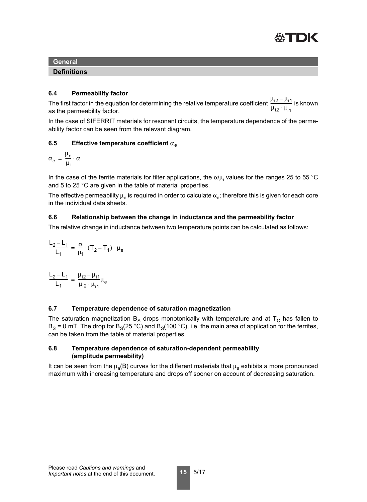

#### **Definitions**

#### **6.4 Permeability factor**

The first factor in the equation for determining the relative temperature coefficient  $\frac{\mu_{12} - \mu_{11}}{\mu_{12} + \mu_{22}}$  is known as the permeability factor.  $\mu_{i2} \cdot \mu_{i1}$  $\frac{12}{12}$ 

In the case of SIFERRIT materials for resonant circuits, the temperature dependence of the permeability factor can be seen from the relevant diagram.

# **6.5 Effective temperature coefficient** α**<sup>e</sup>**

$$
\alpha_e\,=\,\frac{\mu_e}{\mu_i}\cdot\alpha
$$

In the case of the ferrite materials for filter applications, the  $\alpha/\mu_{\mathsf{i}}$  values for the ranges 25 to 55 °C and 5 to 25 °C are given in the table of material properties.

The effective permeability  $\mu_e$  is required in order to calculate  $\alpha_e$ ; therefore this is given for each core in the individual data sheets.

#### **6.6 Relationship between the change in inductance and the permeability factor**

The relative change in inductance between two temperature points can be calculated as follows:

$$
\frac{L_2-L_1}{L_1}=\frac{\alpha}{\mu_i}\cdot(T_2-T_1)\cdot\mu_e
$$

 $L_2 - L_1$  $L_1$  $\frac{L_2 - L_1}{L_1} = \frac{\mu_{12} - \mu_{11}}{L_1}$  $\mu_{i2} \cdot \mu_{i1}$  $=\frac{m_{12}+m_{11}}{m_{22}+m_{12}}\mu_{\rm e}$ 

# **6.7 Temperature dependence of saturation magnetization**

The saturation magnetization B<sub>S</sub> drops monotonically with temperature and at T<sub>C</sub> has fallen to  $B_S = 0$  mT. The drop for  $B_S(25 °C)$  and  $B_S(100 °C)$ , i.e. the main area of application for the ferrites, can be taken from the table of material properties.

#### **6.8 Temperature dependence of saturation-dependent permeability (amplitude permeability)**

It can be seen from the  $\mu_a(B)$  curves for the different materials that  $\mu_a$  exhibits a more pronounced maximum with increasing temperature and drops off sooner on account of decreasing saturation.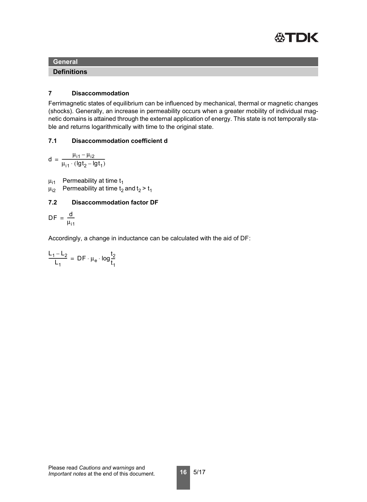

**Definitions**

#### **7 Disaccommodation**

Ferrimagnetic states of equilibrium can be influenced by mechanical, thermal or magnetic changes (shocks). Generally, an increase in permeability occurs when a greater mobility of individual magnetic domains is attained through the external application of energy. This state is not temporally stable and returns logarithmically with time to the original state.

# **7.1 Disaccommodation coefficient d**

 $d = \frac{\mu_{11} - \mu_{12}}{\mu_{11} + \mu_{12}}$  $=\frac{p_{11}p_{12}}{\mu_{11} \cdot (1gt_2 - 1gt_1)}$ 

- $\mu_{i1}$  Permeability at time t<sub>1</sub>
- $\mu_{i2}$  Permeability at time t<sub>2</sub> and t<sub>2</sub> > t<sub>1</sub>

# **7.2 Disaccommodation factor DF**

$$
DF = \frac{d}{\mu_{i1}}
$$

Accordingly, a change in inductance can be calculated with the aid of DF:

$$
\frac{L_1 - L_2}{L_1} = DF \cdot \mu_e \cdot \log \frac{t_2}{t_1}
$$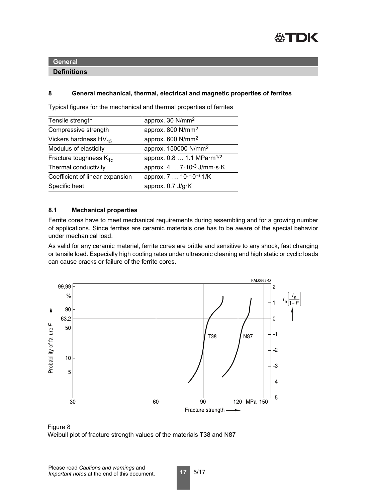

# **Definitions**

# **8 General mechanical, thermal, electrical and magnetic properties of ferrites**

| Tensile strength                   | approx. 30 N/mm <sup>2</sup>          |
|------------------------------------|---------------------------------------|
| Compressive strength               | approx. 800 N/mm <sup>2</sup>         |
| Vickers hardness $HV_{15}$         | approx. 600 N/mm <sup>2</sup>         |
| Modulus of elasticity              | approx. 150000 N/mm <sup>2</sup>      |
| Fracture toughness K <sub>1c</sub> | approx. 0.8  1.1 MPa·m <sup>1/2</sup> |
| Thermal conductivity               | approx. 4  7.10-3 J/mm·s·K            |
| Coefficient of linear expansion    | approx. 7  10.10-6 1/K                |
| Specific heat                      | approx. 0.7 J/g·K                     |

Typical figures for the mechanical and thermal properties of ferrites

# **8.1 Mechanical properties**

Ferrite cores have to meet mechanical requirements during assembling and for a growing number of applications. Since ferrites are ceramic materials one has to be aware of the special behavior under mechanical load.

As valid for any ceramic material, ferrite cores are brittle and sensitive to any shock, fast changing or tensile load. Especially high cooling rates under ultrasonic cleaning and high static or cyclic loads can cause cracks or failure of the ferrite cores.





**17** 5/17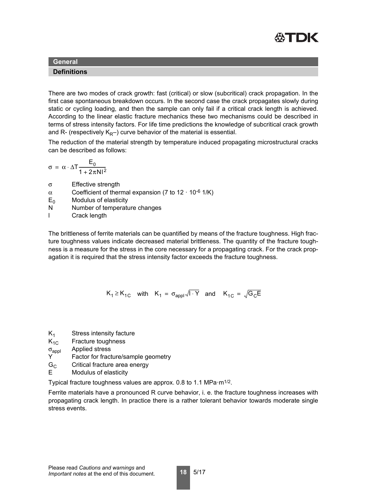

#### **Definitions**

There are two modes of crack growth: fast (critical) or slow (subcritical) crack propagation. In the first case spontaneous breakdown occurs. In the second case the crack propagates slowly during static or cycling loading, and then the sample can only fail if a critical crack length is achieved. According to the linear elastic fracture mechanics these two mechanisms could be described in terms of stress intensity factors. For life time predictions the knowledge of subcritical crack growth and R- (respectively  $K_{R}$ ) curve behavior of the material is essential.

The reduction of the material strength by temperature induced propagating microstructural cracks can be described as follows:

$$
\sigma\ =\ \alpha\cdot\Delta T\frac{E_0}{1+2\pi N l^2}
$$

- σ Effective strength
- $\alpha$  Coefficient of thermal expansion (7 to 12 · 10<sup>-6</sup> 1/K)
- $E_0$  Modulus of elasticity
- N Number of temperature changes
- l Crack length

The brittleness of ferrite materials can be quantified by means of the fracture toughness. High fracture toughness values indicate decreased material brittleness. The quantity of the fracture toughness is a measure for the stress in the core necessary for a propagating crack. For the crack propagation it is required that the stress intensity factor exceeds the fracture toughness.

$$
K_1 \ge K_{1C}
$$
 with  $K_1 = \sigma_{appl} \sqrt{I \cdot Y}$  and  $K_{1C} = \sqrt{G_C E}$ 

- $K_1$  Stress intensity facture
- $K_{1C}$  Fracture toughness
- σ<sub>appl</sub> Applied stress<br>Υ Factor for fract
- Factor for fracture/sample geometry
- $G_C$  Critical fracture area energy<br>E Modulus of elasticity
- Modulus of elasticity

Typical fracture toughness values are approx. 0.8 to 1.1 MPa·m1/2.

Ferrite materials have a pronounced R curve behavior, i. e. the fracture toughness increases with propagating crack length. In practice there is a rather tolerant behavior towards moderate single stress events.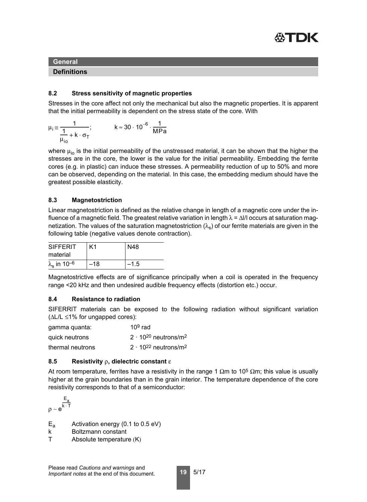

#### **Definitions**

# **8.2 Stress sensitivity of magnetic properties**

Stresses in the core affect not only the mechanical but also the magnetic properties. It is apparent that the initial permeability is dependent on the stress state of the core. With

$$
\mu_i \approx \frac{1}{\frac{1}{\mu_{io}} + k \cdot \sigma_T}; \qquad k \approx 30 \cdot 10^{-6} \cdot \frac{1}{MPa}
$$

where  $\mu_{io}$  is the initial permeability of the unstressed material, it can be shown that the higher the stresses are in the core, the lower is the value for the initial permeability. Embedding the ferrite cores (e.g. in plastic) can induce these stresses. A permeability reduction of up to 50% and more can be observed, depending on the material. In this case, the embedding medium should have the greatest possible elasticity.

# **8.3 Magnetostriction**

Linear magnetostriction is defined as the relative change in length of a magnetic core under the influence of a magnetic field. The greatest relative variation in length  $\lambda = \Delta I/I$  occurs at saturation magnetization. The values of the saturation magnetostriction ( $\lambda$ ) of our ferrite materials are given in the following table (negative values denote contraction).

| <b>SIFFERIT</b>                       | K1    | N48  |
|---------------------------------------|-------|------|
| material                              |       |      |
| $\lambda_{\rm s}$ in 10 <sup>-6</sup> | $-18$ | –1.5 |

Magnetostrictive effects are of significance principally when a coil is operated in the frequency range <20 kHz and then undesired audible frequency effects (distortion etc.) occur.

# **8.4 Resistance to radiation**

SIFERRIT materials can be exposed to the following radiation without significant variation  $(\Delta L/L \leq 1\%$  for ungapped cores):

| gamma quanta:    | $109$ rad                                 |
|------------------|-------------------------------------------|
| quick neutrons   | $2 \cdot 10^{20}$ neutrons/m <sup>2</sup> |
| thermal neutrons | $2 \cdot 10^{22}$ neutrons/m <sup>2</sup> |

# **8.5 Resistivity** ρ**, dielectric constant** ε

At room temperature, ferrites have a resistivity in the range 1  $\Omega$ m to 10<sup>5</sup>  $\Omega$ m; this value is usually higher at the grain boundaries than in the grain interior. The temperature dependence of the core resistivity corresponds to that of a semiconductor:

$$
\rho \sim e^{\frac{E_a}{k \cdot T}}
$$

- $E<sub>a</sub>$  Activation energy (0.1 to 0.5 eV)
- k Boltzmann constant
- T Absolute temperature (K)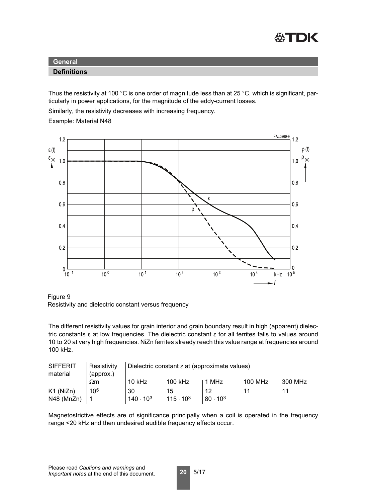

#### **Definitions**

Thus the resistivity at 100 °C is one order of magnitude less than at 25 °C, which is significant, particularly in power applications, for the magnitude of the eddy-current losses.

Similarly, the resistivity decreases with increasing frequency.

Example: Material N48



Figure 9 Resistivity and dielectric constant versus frequency

The different resistivity values for grain interior and grain boundary result in high (apparent) dielectric constants ε at low frequencies. The dielectric constant ε for all ferrites falls to values around 10 to 20 at very high frequencies. NiZn ferrites already reach this value range at frequencies around 100 kHz.

| <b>SIFFERIT</b><br>material | Resistivity<br>(approx.) | Dielectric constant $\varepsilon$ at (approximate values) |                    |                   |                |         |
|-----------------------------|--------------------------|-----------------------------------------------------------|--------------------|-------------------|----------------|---------|
|                             | $\Omega$ m               | $10$ kHz                                                  | 100 kHz            | 1 MHz             | <b>100 MHz</b> | 300 MHz |
| K1 (NiZn)                   | 10 <sup>5</sup>          | 30                                                        | 15                 | 12                | 11             | 11      |
| N48 (MnZn)                  |                          | $140 \cdot 10^3$                                          | $115 \cdot 10^{3}$ | $80 \cdot 10^{3}$ |                |         |

Magnetostrictive effects are of significance principally when a coil is operated in the frequency range <20 kHz and then undesired audible frequency effects occur.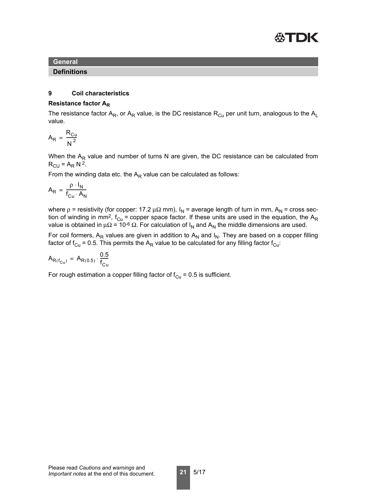

#### **Definitions**

#### **9 Coil characteristics**

#### **Resistance factor AR**

The resistance factor  $A_R$ , or  $A_R$  value, is the DC resistance  $R_{Cu}$  per unit turn, analogous to the  $A_L$ value.

$$
A_R = \frac{R_{Cu}}{N^2}
$$

When the  $A_R$  value and number of turns N are given, the DC resistance can be calculated from  $R_{\text{CU}} = A_R N^2$ .

From the winding data etc. the  $A_R$  value can be calculated as follows:

$$
A_R = \frac{\rho \cdot I_N}{f_{Cu} \cdot A_N}
$$

where  $p =$  resistivity (for copper: 17.2  $\mu\Omega$  mm),  $I_N =$  average length of turn in mm,  $A_N =$  cross section of winding in mm<sup>2</sup>, f<sub>Cu</sub> = copper space factor. If these units are used in the equation, the A<sub>R</sub> value is obtained in  $\mu\Omega$  = 10<sup>-6</sup> Ω. For calculation of I<sub>N</sub> and A<sub>N</sub> the middle dimensions are used.

For coil formers,  $A_R$  values are given in addition to  $A_N$  and  $I_N$ . They are based on a copper filling factor of  $f_{Cu}$  = 0.5. This permits the A<sub>R</sub> value to be calculated for any filling factor  $f_{Cu}$ :

$$
A_{R(f_{Cu})} = A_{R(0.5)} \cdot \frac{0.5}{f_{Cu}}
$$

For rough estimation a copper filling factor of  $f_{Cu} = 0.5$  is sufficient.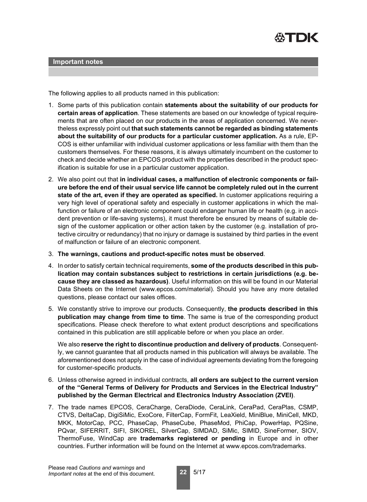

The following applies to all products named in this publication:

- 1. Some parts of this publication contain **statements about the suitability of our products for certain areas of application**. These statements are based on our knowledge of typical requirements that are often placed on our products in the areas of application concerned. We nevertheless expressly point out **that such statements cannot be regarded as binding statements about the suitability of our products for a particular customer application.** As a rule, EP-COS is either unfamiliar with individual customer applications or less familiar with them than the customers themselves. For these reasons, it is always ultimately incumbent on the customer to check and decide whether an EPCOS product with the properties described in the product specification is suitable for use in a particular customer application.
- 2. We also point out that **in individual cases, a malfunction of electronic components or failure before the end of their usual service life cannot be completely ruled out in the current state of the art, even if they are operated as specified.** In customer applications requiring a very high level of operational safety and especially in customer applications in which the malfunction or failure of an electronic component could endanger human life or health (e.g. in accident prevention or life-saving systems), it must therefore be ensured by means of suitable design of the customer application or other action taken by the customer (e.g. installation of protective circuitry or redundancy) that no injury or damage is sustained by third parties in the event of malfunction or failure of an electronic component.
- 3. **The warnings, cautions and product-specific notes must be observed**.
- 4. In order to satisfy certain technical requirements, **some of the products described in this publication may contain substances subject to restrictions in certain jurisdictions (e.g. because they are classed as hazardous)**. Useful information on this will be found in our Material Data Sheets on the Internet (www.epcos.com/material). Should you have any more detailed questions, please contact our sales offices.
- 5. We constantly strive to improve our products. Consequently, **the products described in this publication may change from time to time**. The same is true of the corresponding product specifications. Please check therefore to what extent product descriptions and specifications contained in this publication are still applicable before or when you place an order.

We also **reserve the right to discontinue production and delivery of products**. Consequently, we cannot guarantee that all products named in this publication will always be available. The aforementioned does not apply in the case of individual agreements deviating from the foregoing for customer-specific products.

- 6. Unless otherwise agreed in individual contracts, **all orders are subject to the current version of the "General Terms of Delivery for Products and Services in the Electrical Industry" published by the German Electrical and Electronics Industry Association (ZVEI)**.
- 7. The trade names EPCOS, CeraCharge, CeraDiode, CeraLink, CeraPad, CeraPlas, CSMP, CTVS, DeltaCap, DigiSiMic, ExoCore, FilterCap, FormFit, LeaXield, MiniBlue, MiniCell, MKD, MKK, MotorCap, PCC, PhaseCap, PhaseCube, PhaseMod, PhiCap, PowerHap, PQSine, PQvar, SIFERRIT, SIFI, SIKOREL, SilverCap, SIMDAD, SiMic, SIMID, SineFormer, SIOV, ThermoFuse, WindCap are **trademarks registered or pending** in Europe and in other countries. Further information will be found on the Internet at www.epcos.com/trademarks.

**22** 5/17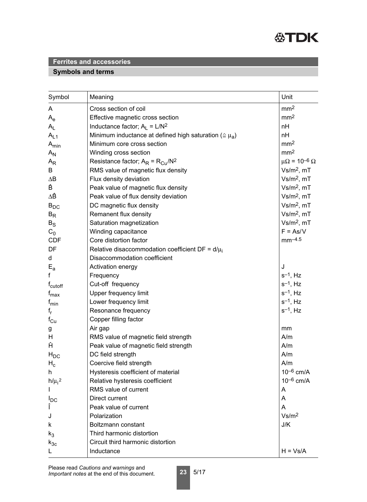

# **Symbols and terms**

| Symbol                    | Meaning                                                           | Unit                         |
|---------------------------|-------------------------------------------------------------------|------------------------------|
| A                         | Cross section of coil                                             | mm <sup>2</sup>              |
| $\mathsf{A}_{\mathsf{e}}$ | Effective magnetic cross section                                  | mm <sup>2</sup>              |
| $A_{L}$                   | Inductance factor; $A_L = L/N^2$                                  | nH                           |
| $A_{L1}$                  | Minimum inductance at defined high saturation ( $\approx \mu_a$ ) | nH                           |
| $A_{min}$                 | Minimum core cross section                                        | mm <sup>2</sup>              |
| $A_N$                     | Winding cross section                                             | mm <sup>2</sup>              |
| $A_{R}$                   | Resistance factor; $A_R = R_{Cu}/N^2$                             | $\mu\Omega = 10^{-6} \Omega$ |
| B                         | RMS value of magnetic flux density                                | $Vs/m2$ , mT                 |
| $\Delta B$                | Flux density deviation                                            | $Vs/m2$ , mT                 |
| Ê                         | Peak value of magnetic flux density                               | $Vs/m2$ , mT                 |
| ΔÊ                        | Peak value of flux density deviation                              | $Vs/m2$ , mT                 |
| $B_{DC}$                  | DC magnetic flux density                                          | $Vs/m2$ , mT                 |
| $B_R$                     | Remanent flux density                                             | $Vs/m2$ , mT                 |
| $B_S$                     | Saturation magnetization                                          | $Vs/m2$ , mT                 |
| $C_0$                     | Winding capacitance                                               | $F = As/V$                   |
| <b>CDF</b>                | Core distortion factor                                            | $mm-4.5$                     |
| DF                        | Relative disaccommodation coefficient DF = $d/\mu_i$              |                              |
| d                         | Disaccommodation coefficient                                      |                              |
| $E_{a}$                   | Activation energy                                                 | J                            |
| f                         | Frequency                                                         | $s^{-1}$ , Hz                |
| f <sub>cutoff</sub>       | Cut-off frequency                                                 | $s^{-1}$ , Hz                |
| $f_{\text{max}}$          | <b>Upper frequency limit</b>                                      | $s^{-1}$ , Hz                |
| $f_{min}$                 | Lower frequency limit                                             | $s^{-1}$ , Hz                |
| $f_r$                     | Resonance frequency                                               | $s^{-1}$ , Hz                |
| $f_{Cu}$                  | Copper filling factor                                             |                              |
| g                         | Air gap                                                           | mm                           |
| H                         | RMS value of magnetic field strength                              | A/m                          |
| Ĥ                         | Peak value of magnetic field strength                             | A/m                          |
| $H_{DC}$                  | DC field strength                                                 | A/m                          |
| $H_c$                     | Coercive field strength                                           | A/m                          |
| h                         | Hysteresis coefficient of material                                | $10^{-6}$ cm/A               |
| $h/\mu_i^2$               | Relative hysteresis coefficient                                   | $10^{-6}$ cm/A               |
|                           | RMS value of current                                              | A                            |
| $I_{DC}$                  | Direct current                                                    | A                            |
| Î                         | Peak value of current                                             | A                            |
| J                         | Polarization                                                      | Vs/m <sup>2</sup>            |
| k                         | Boltzmann constant                                                | J/K                          |
| $k_3$                     | Third harmonic distortion                                         |                              |
| $k_{3c}$                  | Circuit third harmonic distortion                                 |                              |
|                           | Inductance                                                        | $H = Vs/A$                   |

**23** 5/17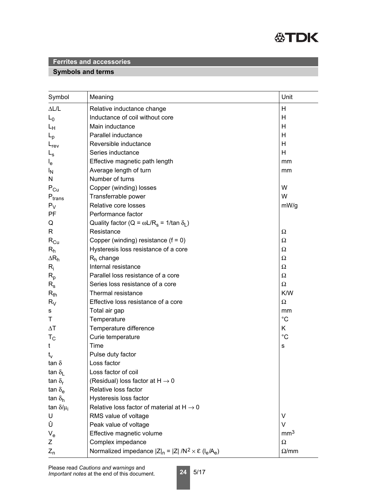

# **Symbols and terms**

| Symbol                        | Meaning                                                                 | Unit            |
|-------------------------------|-------------------------------------------------------------------------|-----------------|
| $\Delta L/L$                  | Relative inductance change                                              | Н               |
| $L_0$                         | Inductance of coil without core                                         | Н               |
| Lн                            | Main inductance                                                         | H               |
| $L_{\rm p}$                   | Parallel inductance                                                     | Н               |
| $L_{rev}$                     | Reversible inductance                                                   | Н               |
| $L_{\rm s}$                   | Series inductance                                                       | H               |
| $I_{e}$                       | Effective magnetic path length                                          | mm              |
| <sup>I</sup> N                | Average length of turn                                                  | mm              |
| N                             | Number of turns                                                         |                 |
| $P_{Cu}$                      | Copper (winding) losses                                                 | W               |
| $\mathsf{P}_{\mathsf{trans}}$ | Transferrable power                                                     | W               |
| $P_V$                         | Relative core losses                                                    | mW/g            |
| PF                            | Performance factor                                                      |                 |
| Q                             | Quality factor (Q = $\omega L/R_s$ = 1/tan $\delta_l$ )                 |                 |
| R                             | Resistance                                                              | Ω               |
| $R_{Cu}$                      | Copper (winding) resistance $(f = 0)$                                   | Ω               |
| $R_h$                         | Hysteresis loss resistance of a core                                    | Ω               |
| $\Delta R_h$                  | $R_h$ change                                                            | Ω               |
| $R_i$                         | Internal resistance                                                     | Ω               |
| $R_{p}$                       | Parallel loss resistance of a core                                      | Ω               |
| $R_{\rm s}$                   | Series loss resistance of a core                                        | $\Omega$        |
| $R_{th}$                      | Thermal resistance                                                      | K/W             |
| $R_V$                         | Effective loss resistance of a core                                     | Ω               |
| s                             | Total air gap                                                           | mm              |
| Τ                             | Temperature                                                             | $^{\circ}C$     |
| $\Delta T$                    | Temperature difference                                                  | K               |
| $T_{\rm C}$                   | Curie temperature                                                       | $^{\circ}C$     |
| t                             | Time                                                                    | s               |
| $t_v$                         | Pulse duty factor                                                       |                 |
| tan $\delta$                  | Loss factor                                                             |                 |
| tan $\delta_{\rm L}$          | Loss factor of coil                                                     |                 |
| tan $\delta_{\rm r}$          | (Residual) loss factor at $H \rightarrow 0$                             |                 |
| tan $\delta_{\rm e}$          | Relative loss factor                                                    |                 |
| tan $\delta_{h}$              | Hysteresis loss factor                                                  |                 |
| tan $\delta/\mu_i$            | Relative loss factor of material at $H \rightarrow 0$                   |                 |
| U                             | RMS value of voltage                                                    | V               |
| Û                             | Peak value of voltage                                                   | $\vee$          |
| $V_{e}$                       | Effective magnetic volume                                               | mm <sup>3</sup> |
| Ζ                             | Complex impedance                                                       | $\Omega$        |
| $Z_{n}$                       | Normalized impedance $ Z _n =  Z  / N^2 \times \mathcal{E} (I_e / A_e)$ | $\Omega$ /mm    |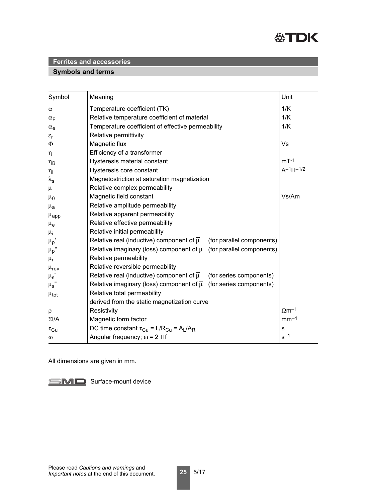

# **Symbols and terms**

| Symbol                 | Meaning                                                                              | Unit                     |
|------------------------|--------------------------------------------------------------------------------------|--------------------------|
| $\alpha$               | Temperature coefficient (TK)                                                         | 1/K                      |
| $\alpha_F$             | Relative temperature coefficient of material                                         | 1/K                      |
| $\alpha_e$             | Temperature coefficient of effective permeability                                    | 1/K                      |
| $\varepsilon_{r}$      | Relative permittivity                                                                |                          |
| $\Phi$                 | Magnetic flux                                                                        | Vs                       |
| $\eta$                 | Efficiency of a transformer                                                          |                          |
| $\eta_B$               | Hysteresis material constant                                                         | $mT-1$                   |
| $\eta_i$               | Hysteresis core constant                                                             | $A^{-1}H^{-1/2}$         |
| $\lambda_{\mathbf{s}}$ | Magnetostriction at saturation magnetization                                         |                          |
| $\mu$                  | Relative complex permeability                                                        |                          |
| $\mu_0$                | Magnetic field constant                                                              | Vs/Am                    |
| $\mu_{a}$              | Relative amplitude permeability                                                      |                          |
| $\mu_{\text{app}}$     | Relative apparent permeability                                                       |                          |
| $\mu_{\rm e}$          | Relative effective permeability                                                      |                          |
| $\mu_{\mathsf{i}}$     | Relative initial permeability                                                        |                          |
| $\mu_p$ '              | Relative real (inductive) component of $\overline{\mu}$<br>(for parallel components) |                          |
| $\mu_p$ "              | Relative imaginary (loss) component of $\overline{\mu}$<br>(for parallel components) |                          |
| $\mu_r$                | Relative permeability                                                                |                          |
| $\mu_{\text{rev}}$     | Relative reversible permeability                                                     |                          |
| $\mu_{\text{s}}$       | Relative real (inductive) component of $\overline{\mu}$<br>(for series components)   |                          |
| $\mu_{\text{s}}$ "     | Relative imaginary (loss) component of $\overline{\mu}$ (for series components)      |                          |
| $\mu_{\text{tot}}$     | Relative total permeability                                                          |                          |
|                        | derived from the static magnetization curve                                          |                          |
| $\rho$                 | Resistivity                                                                          | $\Omega$ m <sup>-1</sup> |
| $\Sigma I/A$           | Magnetic form factor                                                                 | $mm-1$                   |
| $\tau_{\rm Cu}$        | DC time constant $\tau_{Cu} = L/R_{Cu} = A_L/A_R$                                    | $\mathbf S$              |
| $\omega$               | Angular frequency; $\omega$ = 2 $\Pi$ f                                              | $s^{-1}$                 |

All dimensions are given in mm.

SMD Surface-mount device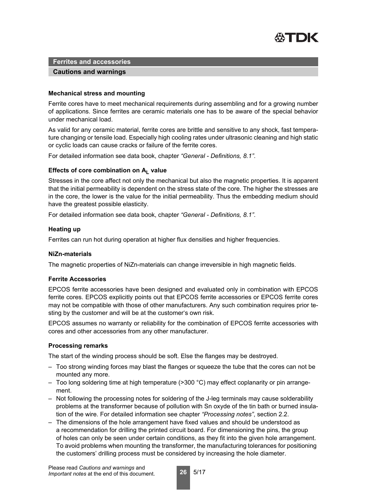

#### **Cautions and warnings**

#### **Mechanical stress and mounting**

Ferrite cores have to meet mechanical requirements during assembling and for a growing number of applications. Since ferrites are ceramic materials one has to be aware of the special behavior under mechanical load.

As valid for any ceramic material, ferrite cores are brittle and sensitive to any shock, fast temperature changing or tensile load. Especially high cooling rates under ultrasonic cleaning and high static or cyclic loads can cause cracks or failure of the ferrite cores.

For detailed information see data book, chapter *"General - Definitions, 8.1"*.

#### Effects of core combination on A<sub>L</sub> value

Stresses in the core affect not only the mechanical but also the magnetic properties. It is apparent that the initial permeability is dependent on the stress state of the core. The higher the stresses are in the core, the lower is the value for the initial permeability. Thus the embedding medium should have the greatest possible elasticity.

For detailed information see data book, chapter *"General - Definitions, 8.1"*.

#### **Heating up**

Ferrites can run hot during operation at higher flux densities and higher frequencies.

#### **NiZn-materials**

The magnetic properties of NiZn-materials can change irreversible in high magnetic fields.

#### **Ferrite Accessories**

EPCOS ferrite accessories have been designed and evaluated only in combination with EPCOS ferrite cores. EPCOS explicitly points out that EPCOS ferrite accessories or EPCOS ferrite cores may not be compatible with those of other manufacturers. Any such combination requires prior testing by the customer and will be at the customer's own risk.

EPCOS assumes no warranty or reliability for the combination of EPCOS ferrite accessories with cores and other accessories from any other manufacturer.

#### **Processing remarks**

The start of the winding process should be soft. Else the flanges may be destroyed.

- Too strong winding forces may blast the flanges or squeeze the tube that the cores can not be mounted any more.
- Too long soldering time at high temperature (>300 °C) may effect coplanarity or pin arrangement.
- Not following the processing notes for soldering of the J-leg terminals may cause solderability problems at the transformer because of pollution with Sn oxyde of the tin bath or burned insulation of the wire. For detailed information see chapter *"Processing notes"*, section 2.2.
- The dimensions of the hole arrangement have fixed values and should be understood as a recommendation for drilling the printed circuit board. For dimensioning the pins, the group of holes can only be seen under certain conditions, as they fit into the given hole arrangement. To avoid problems when mounting the transformer, the manufacturing tolerances for positioning the customers' drilling process must be considered by increasing the hole diameter.